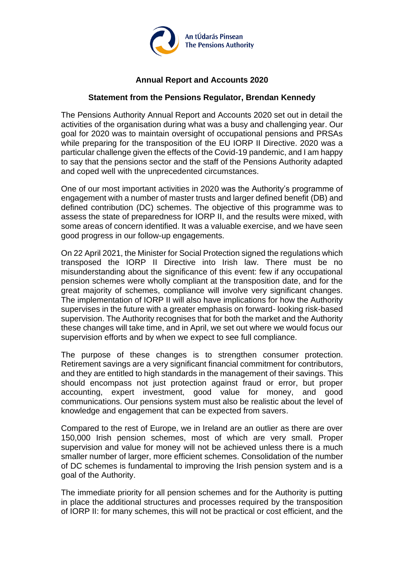

## **Annual Report and Accounts 2020**

## **Statement from the Pensions Regulator, Brendan Kennedy**

The Pensions Authority Annual Report and Accounts 2020 set out in detail the activities of the organisation during what was a busy and challenging year. Our goal for 2020 was to maintain oversight of occupational pensions and PRSAs while preparing for the transposition of the EU IORP II Directive. 2020 was a particular challenge given the effects of the Covid-19 pandemic, and I am happy to say that the pensions sector and the staff of the Pensions Authority adapted and coped well with the unprecedented circumstances.

One of our most important activities in 2020 was the Authority's programme of engagement with a number of master trusts and larger defined benefit (DB) and defined contribution (DC) schemes. The objective of this programme was to assess the state of preparedness for IORP II, and the results were mixed, with some areas of concern identified. It was a valuable exercise, and we have seen good progress in our follow-up engagements.

On 22 April 2021, the Minister for Social Protection signed the regulations which transposed the IORP II Directive into Irish law. There must be no misunderstanding about the significance of this event: few if any occupational pension schemes were wholly compliant at the transposition date, and for the great majority of schemes, compliance will involve very significant changes. The implementation of IORP II will also have implications for how the Authority supervises in the future with a greater emphasis on forward- looking risk-based supervision. The Authority recognises that for both the market and the Authority these changes will take time, and in April, we set out where we would focus our supervision efforts and by when we expect to see full compliance.

The purpose of these changes is to strengthen consumer protection. Retirement savings are a very significant financial commitment for contributors, and they are entitled to high standards in the management of their savings. This should encompass not just protection against fraud or error, but proper accounting, expert investment, good value for money, and good communications. Our pensions system must also be realistic about the level of knowledge and engagement that can be expected from savers.

Compared to the rest of Europe, we in Ireland are an outlier as there are over 150,000 Irish pension schemes, most of which are very small. Proper supervision and value for money will not be achieved unless there is a much smaller number of larger, more efficient schemes. Consolidation of the number of DC schemes is fundamental to improving the Irish pension system and is a goal of the Authority.

The immediate priority for all pension schemes and for the Authority is putting in place the additional structures and processes required by the transposition of IORP II: for many schemes, this will not be practical or cost efficient, and the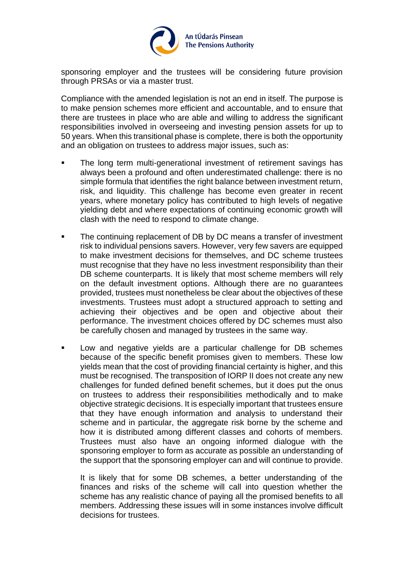

sponsoring employer and the trustees will be considering future provision through PRSAs or via a master trust.

Compliance with the amended legislation is not an end in itself. The purpose is to make pension schemes more efficient and accountable, and to ensure that there are trustees in place who are able and willing to address the significant responsibilities involved in overseeing and investing pension assets for up to 50 years. When this transitional phase is complete, there is both the opportunity and an obligation on trustees to address major issues, such as:

- The long term multi-generational investment of retirement savings has always been a profound and often underestimated challenge: there is no simple formula that identifies the right balance between investment return, risk, and liquidity. This challenge has become even greater in recent years, where monetary policy has contributed to high levels of negative yielding debt and where expectations of continuing economic growth will clash with the need to respond to climate change.
- The continuing replacement of DB by DC means a transfer of investment risk to individual pensions savers. However, very few savers are equipped to make investment decisions for themselves, and DC scheme trustees must recognise that they have no less investment responsibility than their DB scheme counterparts. It is likely that most scheme members will rely on the default investment options. Although there are no guarantees provided, trustees must nonetheless be clear about the objectives of these investments. Trustees must adopt a structured approach to setting and achieving their objectives and be open and objective about their performance. The investment choices offered by DC schemes must also be carefully chosen and managed by trustees in the same way.
- Low and negative yields are a particular challenge for DB schemes because of the specific benefit promises given to members. These low yields mean that the cost of providing financial certainty is higher, and this must be recognised. The transposition of IORP II does not create any new challenges for funded defined benefit schemes, but it does put the onus on trustees to address their responsibilities methodically and to make objective strategic decisions. It is especially important that trustees ensure that they have enough information and analysis to understand their scheme and in particular, the aggregate risk borne by the scheme and how it is distributed among different classes and cohorts of members. Trustees must also have an ongoing informed dialogue with the sponsoring employer to form as accurate as possible an understanding of the support that the sponsoring employer can and will continue to provide.

It is likely that for some DB schemes, a better understanding of the finances and risks of the scheme will call into question whether the scheme has any realistic chance of paying all the promised benefits to all members. Addressing these issues will in some instances involve difficult decisions for trustees.